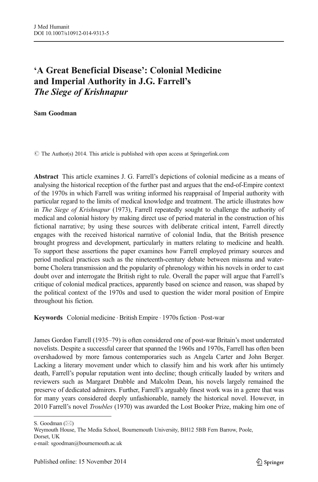# 'A Great Beneficial Disease': Colonial Medicine and Imperial Authority in J.G. Farrell's  $\begin{bmatrix} 5 & 7 \end{bmatrix}$

Sam Goodman

 $\degree$  The Author(s) 2014. This article is published with open access at Springerlink.com

Abstract This article examines J. G. Farrell's depictions of colonial medicine as a means of analysing the historical reception of the further past and argues that the end-of-Empire context of the 1970s in which Farrell was writing informed his reappraisal of Imperial authority with particular regard to the limits of medical knowledge and treatment. The article illustrates how in The Siege of Krishnapur (1973), Farrell repeatedly sought to challenge the authority of medical and colonial history by making direct use of period material in the construction of his fictional narrative; by using these sources with deliberate critical intent, Farrell directly engages with the received historical narrative of colonial India, that the British presence brought progress and development, particularly in matters relating to medicine and health. To support these assertions the paper examines how Farrell employed primary sources and period medical practices such as the nineteenth-century debate between miasma and waterborne Cholera transmission and the popularity of phrenology within his novels in order to cast doubt over and interrogate the British right to rule. Overall the paper will argue that Farrell's critique of colonial medical practices, apparently based on science and reason, was shaped by the political context of the 1970s and used to question the wider moral position of Empire throughout his fiction.

Keywords Colonial medicine . British Empire . 1970s fiction . Post-war

James Gordon Farrell (1935–79) is often considered one of post-war Britain's most underrated novelists. Despite a successful career that spanned the 1960s and 1970s, Farrell has often been overshadowed by more famous contemporaries such as Angela Carter and John Berger. Lacking a literary movement under which to classify him and his work after his untimely death, Farrell's popular reputation went into decline; though critically lauded by writers and reviewers such as Margaret Drabble and Malcolm Dean, his novels largely remained the preserve of dedicated admirers. Further, Farrell's arguably finest work was in a genre that was for many years considered deeply unfashionable, namely the historical novel. However, in 2010 Farrell's novel Troubles (1970) was awarded the Lost Booker Prize, making him one of

S. Goodman  $(\boxtimes)$ 

Weymouth House, The Media School, Bournemouth University, BH12 5BB Fern Barrow, Poole, Dorset, UK

e-mail: sgoodman@bournemouth.ac.uk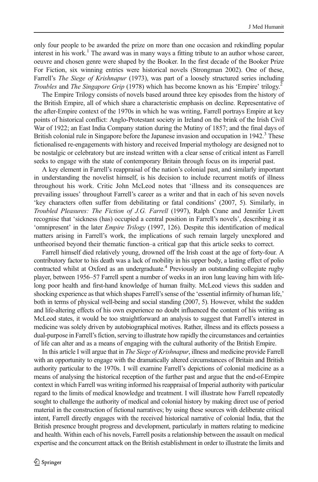only four people to be awarded the prize on more than one occasion and rekindling popular interest in his work.<sup>1</sup> The award was in many ways a fitting tribute to an author whose career, oeuvre and chosen genre were shaped by the Booker. In the first decade of the Booker Prize For Fiction, six winning entries were historical novels (Strongman 2002). One of these, Farrell's *The Siege of Krishnapur* (1973), was part of a loosely structured series including Troubles and The Singapore Grip (1978) which has become known as his 'Empire' trilogy.<sup>2</sup>

The Empire Trilogy consists of novels based around three key episodes from the history of the British Empire, all of which share a characteristic emphasis on decline. Representative of the after-Empire context of the 1970s in which he was writing, Farrell portrays Empire at key points of historical conflict: Anglo-Protestant society in Ireland on the brink of the Irish Civil War of 1922; an East India Company station during the Mutiny of 1857; and the final days of British colonial rule in Singapore before the Japanese invasion and occupation in 1942.<sup>3</sup> These fictionalised re-engagements with history and received Imperial mythology are designed not to be nostalgic or celebratory but are instead written with a clear sense of critical intent as Farrell seeks to engage with the state of contemporary Britain through focus on its imperial past.

A key element in Farrell's reappraisal of the nation's colonial past, and similarly important in understanding the novelist himself, is his decision to include recurrent motifs of illness throughout his work. Critic John McLeod notes that 'illness and its consequences are prevailing issues' throughout Farrell's career as a writer and that in each of his seven novels 'key characters often suffer from debilitating or fatal conditions' (2007, 5). Similarly, in Troubled Pleasures: The Fiction of J.G. Farrell (1997), Ralph Crane and Jennifer Livett recognise that 'sickness (has) occupied a central position in Farrell's novels', describing it as 'omnipresent' in the later Empire Trilogy (1997, 126). Despite this identification of medical matters arising in Farrell's work, the implications of such remain largely unexplored and untheorised beyond their thematic function–a critical gap that this article seeks to correct.

Farrell himself died relatively young, drowned off the Irish coast at the age of forty-four. A contributory factor to his death was a lack of mobility in his upper body, a lasting effect of polio contracted whilst at Oxford as an undergraduate.<sup>4</sup> Previously an outstanding collegiate rugby player, between 1956–57 Farrell spent a number of weeks in an iron lung leaving him with lifelong poor health and first-hand knowledge of human frailty. McLeod views this sudden and shocking experience as that which shapes Farrell's sense of the 'essential infirmity of human life,' both in terms of physical well-being and social standing (2007, 5). However, whilst the sudden and life-altering effects of his own experience no doubt influenced the content of his writing as McLeod states, it would be too straightforward an analysis to suggest that Farrell's interest in medicine was solely driven by autobiographical motives. Rather, illness and its effects possess a dual-purpose in Farrell's fiction, serving to illustrate how rapidly the circumstances and certainties of life can alter and as a means of engaging with the cultural authority of the British Empire.

In this article I will argue that in *The Siege of Krishnapur*, illness and medicine provide Farrell with an opportunity to engage with the dramatically altered circumstances of Britain and British authority particular to the 1970s. I will examine Farrell's depictions of colonial medicine as a means of analysing the historical reception of the further past and argue that the end-of-Empire context in which Farrell was writing informed his reappraisal of Imperial authority with particular regard to the limits of medical knowledge and treatment. I will illustrate how Farrell repeatedly sought to challenge the authority of medical and colonial history by making direct use of period material in the construction of fictional narratives; by using these sources with deliberate critical intent, Farrell directly engages with the received historical narrative of colonial India, that the British presence brought progress and development, particularly in matters relating to medicine and health. Within each of his novels, Farrell posits a relationship between the assault on medical expertise and the concurrent attack on the British establishment in order to illustrate the limits and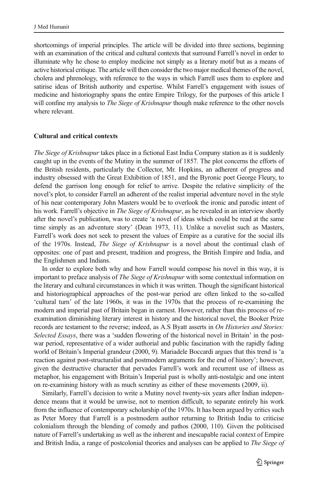shortcomings of imperial principles. The article will be divided into three sections, beginning with an examination of the critical and cultural contexts that surround Farrell's novel in order to illuminate why he chose to employ medicine not simply as a literary motif but as a means of active historical critique. The article will then consider the two major medical themes of the novel, cholera and phrenology, with reference to the ways in which Farrell uses them to explore and satirise ideas of British authority and expertise. Whilst Farrell's engagement with issues of medicine and historiography spans the entire Empire Trilogy, for the purposes of this article I will confine my analysis to *The Siege of Krishnapur* though make reference to the other novels where relevant.

## Cultural and critical contexts

The Siege of Krishnapur takes place in a fictional East India Company station as it is suddenly caught up in the events of the Mutiny in the summer of 1857. The plot concerns the efforts of the British residents, particularly the Collector, Mr. Hopkins, an adherent of progress and industry obsessed with the Great Exhibition of 1851, and the Byronic poet George Fleury, to defend the garrison long enough for relief to arrive. Despite the relative simplicity of the novel's plot, to consider Farrell an adherent of the realist imperial adventure novel in the style of his near contemporary John Masters would be to overlook the ironic and parodic intent of his work. Farrell's objective in *The Siege of Krishnapur*, as he revealed in an interview shortly after the novel's publication, was to create 'a novel of ideas which could be read at the same time simply as an adventure story' (Dean 1973, 11). Unlike a novelist such as Masters, Farrell's work does not seek to present the values of Empire as a curative for the social ills of the 1970s. Instead, The Siege of Krishnapur is a novel about the continual clash of opposites: one of past and present, tradition and progress, the British Empire and India, and the Englishmen and Indians.

In order to explore both why and how Farrell would compose his novel in this way, it is important to preface analysis of *The Siege of Krishnapur* with some contextual information on the literary and cultural circumstances in which it was written. Though the significant historical and historiographical approaches of the post-war period are often linked to the so-called 'cultural turn' of the late 1960s, it was in the 1970s that the process of re-examining the modern and imperial past of Britain began in earnest. However, rather than this process of reexamination diminishing literary interest in history and the historical novel, the Booker Prize records are testament to the reverse; indeed, as A.S Byatt asserts in On Histories and Stories: Selected Essays, there was a 'sudden flowering of the historical novel in Britain' in the postwar period, representative of a wider authorial and public fascination with the rapidly fading world of Britain's Imperial grandeur (2000, 9). Mariadele Boccardi argues that this trend is 'a reaction against post-structuralist and postmodern arguments for the end of history'; however, given the destructive character that pervades Farrell's work and recurrent use of illness as metaphor, his engagement with Britain's Imperial past is wholly anti-nostalgic and one intent on re-examining history with as much scrutiny as either of these movements (2009, ii).

Similarly, Farrell's decision to write a Mutiny novel twenty-six years after Indian independence means that it would be unwise, not to mention difficult, to separate entirely his work from the influence of contemporary scholarship of the 1970s. It has been argued by critics such as Peter Morey that Farrell is a postmodern author returning to British India to criticise colonialism through the blending of comedy and pathos (2000, 110). Given the politicised nature of Farrell's undertaking as well as the inherent and inescapable racial context of Empire and British India, a range of postcolonial theories and analyses can be applied to *The Siege of*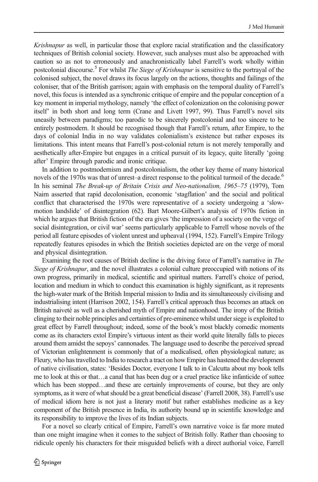Krishnapur as well, in particular those that explore racial stratification and the classificatory techniques of British colonial society. However, such analyses must also be approached with caution so as not to erroneously and anachronistically label Farrell's work wholly within postcolonial discourse.<sup>5</sup> For whilst *The Siege of Krishnapur* is sensitive to the portrayal of the colonised subject, the novel draws its focus largely on the actions, thoughts and failings of the coloniser, that of the British garrison; again with emphasis on the temporal duality of Farrell's novel, this focus is intended as a synchronic critique of empire and the popular conception of a key moment in imperial mythology, namely 'the effect of colonization on the colonising power itself' in both short and long term (Crane and Livett 1997, 99). Thus Farrell's novel sits uneasily between paradigms; too parodic to be sincerely postcolonial and too sincere to be entirely postmodern. It should be recognised though that Farrell's return, after Empire, to the days of colonial India in no way validates colonialism's existence but rather exposes its limitations. This intent means that Farrell's post-colonial return is not merely temporally and aesthetically after-Empire but engages in a critical pursuit of its legacy, quite literally 'going after' Empire through parodic and ironic critique.

In addition to postmodernism and postcolonialism, the other key theme of many historical novels of the 1970s was that of unrest–a direct response to the political turmoil of the decade.<sup>6</sup> In his seminal The Break-up of Britain Crisis and Neo-nationalism, 1965–75 (1979), Tom Nairn asserted that rapid decolonisation, economic 'stagflation' and the social and political conflict that characterised the 1970s were representative of a society undergoing a 'slowmotion landslide' of disintegration (62). Bart Moore-Gilbert's analysis of 1970s fiction in which he argues that British fiction of the era gives 'the impression of a society on the verge of social disintegration, or civil war' seems particularly applicable to Farrell whose novels of the period all feature episodes of violent unrest and upheaval (1994, 152). Farrell's Empire Trilogy repeatedly features episodes in which the British societies depicted are on the verge of moral and physical disintegration.

Examining the root causes of British decline is the driving force of Farrell's narrative in The Siege of Krishnapur, and the novel illustrates a colonial culture preoccupied with notions of its own progress, primarily in medical, scientific and spiritual matters. Farrell's choice of period, location and medium in which to conduct this examination is highly significant, as it represents the high-water mark of the British Imperial mission to India and its simultaneously civilising and industrialising intent (Harrison 2002, 154). Farrell's critical approach thus becomes an attack on British naiveté as well as a cherished myth of Empire and nationhood. The irony of the British clinging to their noble principles and certainties of pre-eminence whilst under siege is exploited to great effect by Farrell throughout; indeed, some of the book's most blackly comedic moments come as its characters extol Empire's virtuous intent as their world quite literally falls to pieces around them amidst the sepoys' cannonades. The language used to describe the perceived spread of Victorian enlightenment is commonly that of a medicalised, often physiological nature; as Fleury, who has travelled to India to research a tract on how Empire has hastened the development of native civilisation, states: 'Besides Doctor, everyone I talk to in Calcutta about my book tells me to look at this or that…a canal that has been dug or a cruel practice like infanticide of suttee which has been stopped…and these are certainly improvements of course, but they are only symptoms, as it were of what should be a great beneficial disease' (Farrell 2008, 38). Farrell's use of medical idiom here is not just a literary motif but rather establishes medicine as a key component of the British presence in India, its authority bound up in scientific knowledge and its responsibility to improve the lives of its Indian subjects.

For a novel so clearly critical of Empire, Farrell's own narrative voice is far more muted than one might imagine when it comes to the subject of British folly. Rather than choosing to ridicule openly his characters for their misguided beliefs with a direct authorial voice, Farrell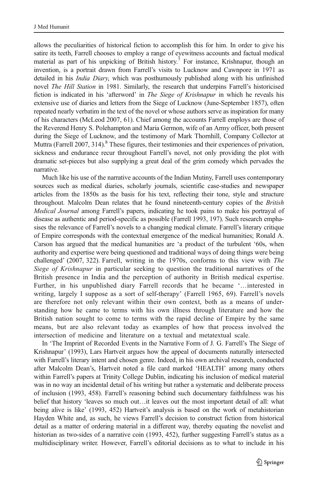allows the peculiarities of historical fiction to accomplish this for him. In order to give his satire its teeth, Farrell chooses to employ a range of eyewitness accounts and factual medical material as part of his unpicking of British history.<sup>7</sup> For instance, Krishnapur, though an invention, is a portrait drawn from Farrell's visits to Lucknow and Cawnpore in 1971 as detailed in his *India Diary*, which was posthumously published along with his unfinished novel *The Hill Station* in 1981. Similarly, the research that underpins Farrell's historicised fiction is indicated in his 'afterword' in The Siege of Krishnapur in which he reveals his extensive use of diaries and letters from the Siege of Lucknow (June-September 1857), often repeated nearly verbatim in the text of the novel or whose authors serve as inspiration for many of his characters (McLeod 2007, 61). Chief among the accounts Farrell employs are those of the Reverend Henry S. Polehampton and Maria Germon, wife of an Army officer, both present during the Siege of Lucknow, and the testimony of Mark Thornhill, Company Collector at Muttra (Farrell 2007, 314). $8$  These figures, their testimonies and their experiences of privation, sickness and endurance recur throughout Farrell's novel, not only providing the plot with dramatic set-pieces but also supplying a great deal of the grim comedy which pervades the narrative.

Much like his use of the narrative accounts of the Indian Mutiny, Farrell uses contemporary sources such as medical diaries, scholarly journals, scientific case-studies and newspaper articles from the 1850s as the basis for his text, reflecting their tone, style and structure throughout. Malcolm Dean relates that he found nineteenth-century copies of the British Medical Journal among Farrell's papers, indicating he took pains to make his portrayal of disease as authentic and period-specific as possible (Farrell 1993, 197). Such research emphasises the relevance of Farrell's novels to a changing medical climate. Farrell's literary critique of Empire corresponds with the contextual emergence of the medical humanities; Ronald A. Carson has argued that the medical humanities are 'a product of the turbulent '60s, when authority and expertise were being questioned and traditional ways of doing things were being challenged' (2007, 322). Farrell, writing in the 1970s, conforms to this view with The Siege of Krishnapur in particular seeking to question the traditional narratives of the British presence in India and the perception of authority in British medical expertise. Further, in his unpublished diary Farrell records that he became '…interested in writing, largely I suppose as a sort of self-therapy' (Farrell 1965, 69). Farrell's novels are therefore not only relevant within their own context, both as a means of understanding how he came to terms with his own illness through literature and how the British nation sought to come to terms with the rapid decline of Empire by the same means, but are also relevant today as examples of how that process involved the intersection of medicine and literature on a textual and metatextual scale.

In 'The Imprint of Recorded Events in the Narrative Form of J. G. Farrell's The Siege of Krishnapur' (1993), Lars Hartveit argues how the appeal of documents naturally intersected with Farrell's literary intent and chosen genre. Indeed, in his own archival research, conducted after Malcolm Dean's, Hartveit noted a file card marked 'HEALTH' among many others within Farrell's papers at Trinity College Dublin, indicating his inclusion of medical material was in no way an incidental detail of his writing but rather a systematic and deliberate process of inclusion (1993, 458). Farrell's reasoning behind such documentary faithfulness was his belief that history 'leaves so much out…it leaves out the most important detail of all: what being alive is like' (1993, 452) Hartveit's analysis is based on the work of metahistorian Hayden White and, as such, he views Farrell's decision to construct fiction from historical detail as a matter of ordering material in a different way, thereby equating the novelist and historian as two-sides of a narrative coin (1993, 452), further suggesting Farrell's status as a multidisciplinary writer. However, Farrell's editorial decisions as to what to include in his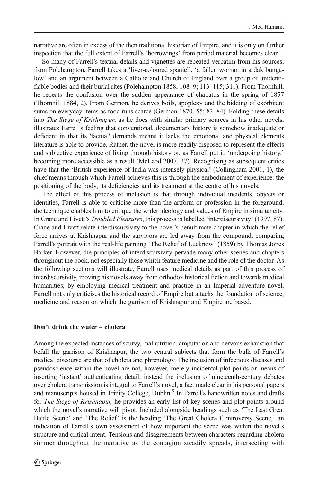narrative are often in excess of the then traditional historian of Empire, and it is only on further inspection that the full extent of Farrell's 'borrowings' from period material becomes clear.

So many of Farrell's textual details and vignettes are repeated verbatim from his sources; from Polehampton, Farrell takes a 'liver-coloured spaniel', 'a fallen woman in a dak bungalow' and an argument between a Catholic and Church of England over a group of unidentifiable bodies and their burial rites (Polehampton 1858, 108–9; 113–115; 311). From Thornhill, he repeats the confusion over the sudden appearance of chapattis in the spring of 1857 (Thornhill 1884, 2). From Germon, he derives boils, apoplexy and the bidding of exorbitant sums on everyday items as food runs scarce (Germon 1870, 55; 83–84). Folding these details into The Siege of Krishnapur, as he does with similar primary sources in his other novels, illustrates Farrell's feeling that conventional, documentary history is somehow inadequate or deficient in that its 'factual' demands means it lacks the emotional and physical elements literature is able to provide. Rather, the novel is more readily disposed to represent the effects and subjective experience of living through history or, as Farrell put it, 'undergoing history,' becoming more accessible as a result (McLeod 2007, 37). Recognising as subsequent critics have that the 'British experience of India was intensely physical' (Collingham 2001, 1), the chief means through which Farrell achieves this is through the embodiment of experience: the positioning of the body, its deficiencies and its treatment at the centre of his novels.

The effect of this process of inclusion is that through individual incidents, objects or identities, Farrell is able to criticise more than the artform or profession in the foreground; the technique enables him to critique the wider ideology and values of Empire in simultaneity. In Crane and Livett's Troubled Pleasures, this process is labelled 'interdiscursivity' (1997, 87). Crane and Livett relate interdiscursivity to the novel's penultimate chapter in which the relief force arrives at Krishnapur and the survivors are led away from the compound, comparing Farrell's portrait with the real-life painting 'The Relief of Lucknow' (1859) by Thomas Jones Barker. However, the principles of interdiscursivity pervade many other scenes and chapters throughout the book, not especially those which feature medicine and the role of the doctor. As the following sections will illustrate, Farrell uses medical details as part of this process of interdiscursivity, moving his novels away from orthodox historical fiction and towards medical humanities; by employing medical treatment and practice in an Imperial adventure novel, Farrell not only criticises the historical record of Empire but attacks the foundation of science, medicine and reason on which the garrison of Krishnapur and Empire are based.

#### Don't drink the water – cholera

Among the expected instances of scurvy, malnutrition, amputation and nervous exhaustion that befall the garrison of Krishnapur, the two central subjects that form the bulk of Farrell's medical discourse are that of cholera and phrenology. The inclusion of infectious diseases and pseudoscience within the novel are not, however, merely incidental plot points or means of inserting 'instant' authenticating detail; instead the inclusion of nineteenth-century debates over cholera transmission is integral to Farrell's novel, a fact made clear in his personal papers and manuscripts housed in Trinity College, Dublin.<sup>9</sup> In Farrell's handwritten notes and drafts for *The Siege of Krishnapur*, he provides an early list of key scenes and plot points around which the novel's narrative will pivot. Included alongside headings such as 'The Last Great Battle Scene' and 'The Relief' is the heading 'The Great Cholera Controversy Scene,' an indication of Farrell's own assessment of how important the scene was within the novel's structure and critical intent. Tensions and disagreements between characters regarding cholera simmer throughout the narrative as the contagion steadily spreads, intersecting with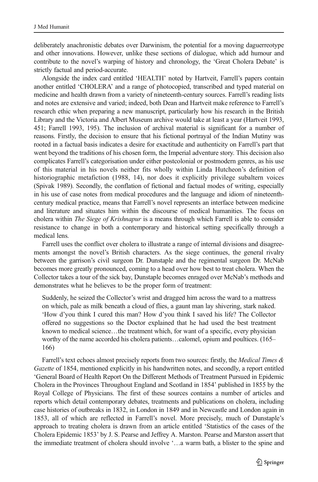deliberately anachronistic debates over Darwinism, the potential for a moving daguerreotype and other innovations. However, unlike these sections of dialogue, which add humour and contribute to the novel's warping of history and chronology, the 'Great Cholera Debate' is strictly factual and period-accurate.

Alongside the index card entitled 'HEALTH' noted by Hartveit, Farrell's papers contain another entitled 'CHOLERA' and a range of photocopied, transcribed and typed material on medicine and health drawn from a variety of nineteenth-century sources. Farrell's reading lists and notes are extensive and varied; indeed, both Dean and Hartveit make reference to Farrell's research ethic when preparing a new manuscript, particularly how his research in the British Library and the Victoria and Albert Museum archive would take at least a year (Hartveit 1993, 451; Farrell 1993, 195). The inclusion of archival material is significant for a number of reasons. Firstly, the decision to ensure that his fictional portrayal of the Indian Mutiny was rooted in a factual basis indicates a desire for exactitude and authenticity on Farrell's part that went beyond the traditions of his chosen form, the Imperial adventure story. This decision also complicates Farrell's categorisation under either postcolonial or postmodern genres, as his use of this material in his novels neither fits wholly within Linda Hutcheon's definition of historiographic metafiction (1988, 14), nor does it explicitly privilege subaltern voices (Spivak 1989). Secondly, the conflation of fictional and factual modes of writing, especially in his use of case notes from medical procedures and the language and idiom of nineteenthcentury medical practice, means that Farrell's novel represents an interface between medicine and literature and situates him within the discourse of medical humanities. The focus on cholera within *The Siege of Krishnapur* is a means through which Farrell is able to consider resistance to change in both a contemporary and historical setting specifically through a medical lens.

Farrell uses the conflict over cholera to illustrate a range of internal divisions and disagreements amongst the novel's British characters. As the siege continues, the general rivalry between the garrison's civil surgeon Dr. Dunstaple and the regimental surgeon Dr. McNab becomes more greatly pronounced, coming to a head over how best to treat cholera. When the Collector takes a tour of the sick bay, Dunstaple becomes enraged over McNab's methods and demonstrates what he believes to be the proper form of treatment:

Suddenly, he seized the Collector's wrist and dragged him across the ward to a mattress on which, pale as milk beneath a cloud of flies, a gaunt man lay shivering, stark naked. 'How d'you think I cured this man? How d'you think I saved his life? The Collector offered no suggestions so the Doctor explained that he had used the best treatment known to medical science…the treatment which, for want of a specific, every physician worthy of the name accorded his cholera patients…calomel, opium and poultices. (165– 166)

Farrell's text echoes almost precisely reports from two sources: firstly, the *Medical Times &* Gazette of 1854, mentioned explicitly in his handwritten notes, and secondly, a report entitled 'General Board of Health Report On the Different Methods of Treatment Pursued in Epidemic Cholera in the Provinces Throughout England and Scotland in 1854' published in 1855 by the Royal College of Physicians. The first of these sources contains a number of articles and reports which detail contemporary debates, treatments and publications on cholera, including case histories of outbreaks in 1832, in London in 1849 and in Newcastle and London again in 1853, all of which are reflected in Farrell's novel. More precisely, much of Dunstaple's approach to treating cholera is drawn from an article entitled 'Statistics of the cases of the Cholera Epidemic 1853' by J. S. Pearse and Jeffrey A. Marston. Pearse and Marston assert that the immediate treatment of cholera should involve '…a warm bath, a blister to the spine and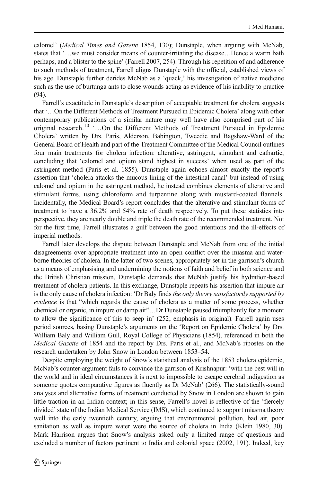calomel' (Medical Times and Gazette 1854, 130); Dunstaple, when arguing with McNab, states that '...we must consider means of counter-irritating the disease...Hence a warm bath perhaps, and a blister to the spine' (Farrell 2007, 254). Through his repetition of and adherence to such methods of treatment, Farrell aligns Dunstaple with the official, established views of his age. Dunstaple further derides McNab as a 'quack,' his investigation of native medicine such as the use of burtunga ants to close wounds acting as evidence of his inability to practice (94).

Farrell's exactitude in Dunstaple's description of acceptable treatment for cholera suggests that '…On the Different Methods of Treatment Pursued in Epidemic Cholera' along with other contemporary publications of a similar nature may well have also comprised part of his original research.<sup>10</sup> '...On the Different Methods of Treatment Pursued in Epidemic Cholera' written by Drs. Paris, Alderson, Babington, Tweedie and Bagshaw-Ward of the General Board of Health and part of the Treatment Committee of the Medical Council outlines four main treatments for cholera infection: alterative, astringent, stimulant and cathartic, concluding that 'calomel and opium stand highest in success' when used as part of the astringent method (Paris et al. 1855). Dunstaple again echoes almost exactly the report's assertion that 'cholera attacks the mucous lining of the intestinal canal' but instead of using calomel and opium in the astringent method, he instead combines elements of alterative and stimulant forms, using chloroform and turpentine along with mustard-coated flannels. Incidentally, the Medical Board's report concludes that the alterative and stimulant forms of treatment to have a 36.2% and 54% rate of death respectively. To put these statistics into perspective, they are nearly double and triple the death rate of the recommended treatment. Not for the first time, Farrell illustrates a gulf between the good intentions and the ill-effects of imperial methods.

Farrell later develops the dispute between Dunstaple and McNab from one of the initial disagreements over appropriate treatment into an open conflict over the miasma and waterborne theories of cholera. In the latter of two scenes, appropriately set in the garrison's church as a means of emphasising and undermining the notions of faith and belief in both science and the British Christian mission, Dunstaple demands that McNab justify his hydration-based treatment of cholera patients. In this exchange, Dunstaple repeats his assertion that impure air is the only cause of cholera infection: 'Dr Baly finds the only theory satisfactorily supported by evidence is that "which regards the cause of cholera as a matter of some process, whether chemical or organic, in impure or damp air"…Dr Dunstaple paused triumphantly for a moment to allow the significance of this to seep in' (252; emphasis in original). Farrell again uses period sources, basing Dunstaple's arguments on the 'Report on Epidemic Cholera' by Drs. William Baly and William Gull, Royal College of Physicians (1854), referenced in both the Medical Gazette of 1854 and the report by Drs. Paris et al., and McNab's ripostes on the research undertaken by John Snow in London between 1853–54.

Despite employing the weight of Snow's statistical analysis of the 1853 cholera epidemic, McNab's counter-argument fails to convince the garrison of Krishnapur: 'with the best will in the world and in ideal circumstances it is next to impossible to escape cerebral indigestion as someone quotes comparative figures as fluently as Dr McNab' (266). The statistically-sound analyses and alternative forms of treatment conducted by Snow in London are shown to gain little traction in an Indian context; in this sense, Farrell's novel is reflective of the 'fiercely divided'state of the Indian Medical Service (IMS), which continued to support miasma theory well into the early twentieth century, arguing that environmental pollution, bad air, poor sanitation as well as impure water were the source of cholera in India (Klein 1980, 30). Mark Harrison argues that Snow's analysis asked only a limited range of questions and excluded a number of factors pertinent to India and colonial space (2002, 191). Indeed, key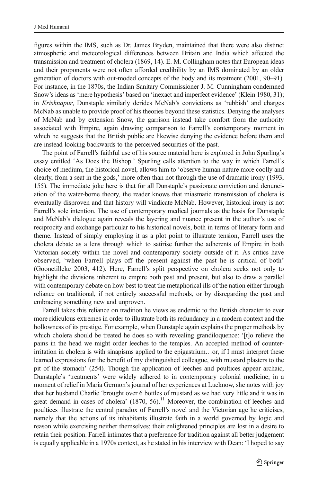figures within the IMS, such as Dr. James Bryden, maintained that there were also distinct atmospheric and meteorological differences between Britain and India which affected the transmission and treatment of cholera (1869, 14). E. M. Collingham notes that European ideas and their proponents were not often afforded credibility by an IMS dominated by an older generation of doctors with out-moded concepts of the body and its treatment (2001, 90–91). For instance, in the 1870s, the Indian Sanitary Commissioner J. M. Cunningham condemned Snow's ideas as 'mere hypothesis' based on 'inexact and imperfect evidence' (Klein 1980, 31); in Krishnapur, Dunstaple similarly derides McNab's convictions as 'rubbish' and charges McNab as unable to provide proof of his theories beyond these statistics. Denying the analyses of McNab and by extension Snow, the garrison instead take comfort from the authority associated with Empire, again drawing comparison to Farrell's contemporary moment in which he suggests that the British public are likewise denying the evidence before them and are instead looking backwards to the perceived securities of the past.

The point of Farrell's faithful use of his source material here is explored in John Spurling's essay entitled 'As Does the Bishop.' Spurling calls attention to the way in which Farrell's choice of medium, the historical novel, allows him to 'observe human nature more coolly and clearly, from a seat in the gods,' more often than not through the use of dramatic irony (1993, 155). The immediate joke here is that for all Dunstaple's passionate conviction and denunciation of the water-borne theory, the reader knows that miasmatic transmission of cholera is eventually disproven and that history will vindicate McNab. However, historical irony is not Farrell's sole intention. The use of contemporary medical journals as the basis for Dunstaple and McNab's dialogue again reveals the layering and nuance present in the author's use of reciprocity and exchange particular to his historical novels, both in terms of literary form and theme. Instead of simply employing it as a plot point to illustrate tension, Farrell uses the cholera debate as a lens through which to satirise further the adherents of Empire in both Victorian society within the novel and contemporary society outside of it. As critics have observed, 'when Farrell plays off the present against the past he is critical of both' (Goonetilleke 2003, 412). Here, Farrell's split perspective on cholera seeks not only to highlight the divisions inherent to empire both past and present, but also to draw a parallel with contemporary debate on how best to treat the metaphorical ills of the nation either through reliance on traditional, if not entirely successful methods, or by disregarding the past and embracing something new and unproven.

Farrell takes this reliance on tradition he views as endemic to the British character to ever more ridiculous extremes in order to illustrate both its redundancy in a modern context and the hollowness of its prestige. For example, when Dunstaple again explains the proper methods by which cholera should be treated he does so with revealing grandiloquence: '[t]o relieve the pains in the head we might order leeches to the temples. An accepted method of counterirritation in cholera is with sinapisms applied to the epigastrium…or, if I must interpret these learned expressions for the benefit of my distinguished colleague, with mustard plasters to the pit of the stomach' (254). Though the application of leeches and poultices appear archaic, Dunstaple's 'treatments' were widely adhered to in contemporary colonial medicine; in a moment of relief in Maria Germon's journal of her experiences at Lucknow, she notes with joy that her husband Charlie 'brought over 6 bottles of mustard as we had very little and it was in great demand in cases of cholera'  $(1870, 56)$ .<sup>11</sup> Moreover, the combination of leeches and poultices illustrate the central paradox of Farrell's novel and the Victorian age he criticises, namely that the actions of its inhabitants illustrate faith in a world governed by logic and reason while exercising neither themselves; their enlightened principles are lost in a desire to retain their position. Farrell intimates that a preference for tradition against all better judgement is equally applicable in a 1970s context, as he stated in his interview with Dean: 'I hoped to say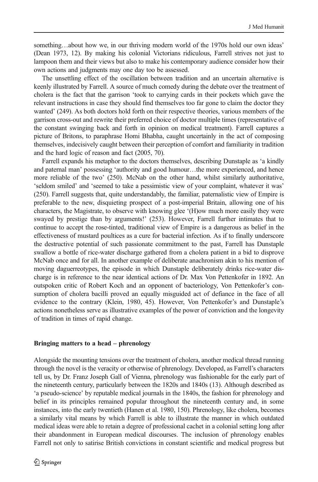something…about how we, in our thriving modern world of the 1970s hold our own ideas' (Dean 1973, 12). By making his colonial Victorians ridiculous, Farrell strives not just to lampoon them and their views but also to make his contemporary audience consider how their own actions and judgments may one day too be assessed.

The unsettling effect of the oscillation between tradition and an uncertain alternative is keenly illustrated by Farrell. A source of much comedy during the debate over the treatment of cholera is the fact that the garrison 'took to carrying cards in their pockets which gave the relevant instructions in case they should find themselves too far gone to claim the doctor they wanted' (249). As both doctors hold forth on their respective theories, various members of the garrison cross-out and rewrite their preferred choice of doctor multiple times (representative of the constant swinging back and forth in opinion on medical treatment). Farrell captures a picture of Britons, to paraphrase Homi Bhabha, caught uncertainly in the act of composing themselves, indecisively caught between their perception of comfort and familiarity in tradition and the hard logic of reason and fact (2005, 70).

Farrell expands his metaphor to the doctors themselves, describing Dunstaple as 'a kindly and paternal man' possessing 'authority and good humour…the more experienced, and hence more reliable of the two' (250). McNab on the other hand, whilst similarly authoritative, 'seldom smiled' and 'seemed to take a pessimistic view of your complaint, whatever it was' (250). Farrell suggests that, quite understandably, the familiar, paternalistic view of Empire is preferable to the new, disquieting prospect of a post-imperial Britain, allowing one of his characters, the Magistrate, to observe with knowing glee '(H)ow much more easily they were swayed by prestige than by arguments!' (253). However, Farrell further intimates that to continue to accept the rose-tinted, traditional view of Empire is a dangerous as belief in the effectiveness of mustard poultices as a cure for bacterial infection. As if to finally underscore the destructive potential of such passionate commitment to the past, Farrell has Dunstaple swallow a bottle of rice-water discharge gathered from a cholera patient in a bid to disprove McNab once and for all. In another example of deliberate anachronism akin to his mention of moving daguerreotypes, the episode in which Dunstaple deliberately drinks rice-water discharge is in reference to the near identical actions of Dr. Max Von Pettenkofer in 1892. An outspoken critic of Robert Koch and an opponent of bacteriology, Von Pettenkofer's consumption of cholera bacilli proved an equally misguided act of defiance in the face of all evidence to the contrary (Klein, 1980, 45). However, Von Pettenkofer's and Dunstaple's actions nonetheless serve as illustrative examples of the power of conviction and the longevity of tradition in times of rapid change.

## Bringing matters to a head – phrenology

Alongside the mounting tensions over the treatment of cholera, another medical thread running through the novel is the veracity or otherwise of phrenology. Developed, as Farrell's characters tell us, by Dr. Franz Joseph Gall of Vienna, phrenology was fashionable for the early part of the nineteenth century, particularly between the 1820s and 1840s (13). Although described as 'a pseudo-science' by reputable medical journals in the 1840s, the fashion for phrenology and belief in its principles remained popular throughout the nineteenth century and, in some instances, into the early twentieth (Hanen et al. 1980, 150). Phrenology, like cholera, becomes a similarly vital means by which Farrell is able to illustrate the manner in which outdated medical ideas were able to retain a degree of professional cachet in a colonial setting long after their abandonment in European medical discourses. The inclusion of phrenology enables Farrell not only to satirise British convictions in constant scientific and medical progress but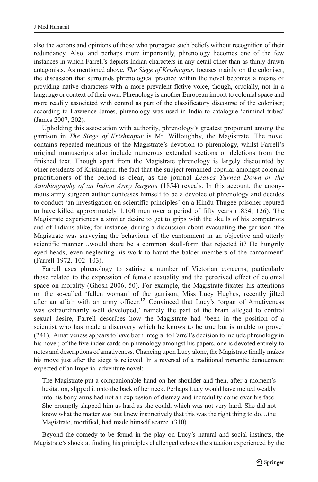also the actions and opinions of those who propagate such beliefs without recognition of their redundancy. Also, and perhaps more importantly, phrenology becomes one of the few instances in which Farrell's depicts Indian characters in any detail other than as thinly drawn antagonists. As mentioned above, *The Siege of Krishnapur*, focuses mainly on the coloniser; the discussion that surrounds phrenological practice within the novel becomes a means of providing native characters with a more prevalent fictive voice, though, crucially, not in a language or context of their own. Phrenology is another European import to colonial space and more readily associated with control as part of the classificatory discourse of the coloniser; according to Lawrence James, phrenology was used in India to catalogue 'criminal tribes' (James 2007, 202).

Upholding this association with authority, phrenology's greatest proponent among the garrison in The Siege of Krishnapur is Mr. Willoughby, the Magistrate. The novel contains repeated mentions of the Magistrate's devotion to phrenology, whilst Farrell's original manuscripts also include numerous extended sections or deletions from the finished text. Though apart from the Magistrate phrenology is largely discounted by other residents of Krishnapur, the fact that the subject remained popular amongst colonial practitioners of the period is clear, as the journal Leaves Turned Down or the Autobiography of an Indian Army Surgeon (1854) reveals. In this account, the anonymous army surgeon author confesses himself to be a devotee of phrenology and decides to conduct 'an investigation on scientific principles' on a Hindu Thugee prisoner reputed to have killed approximately 1,100 men over a period of fifty years (1854, 126). The Magistrate experiences a similar desire to get to grips with the skulls of his compatriots and of Indians alike; for instance, during a discussion about evacuating the garrison 'the Magistrate was surveying the behaviour of the cantonment in an objective and utterly scientific manner…would there be a common skull-form that rejected it? He hungrily eyed heads, even neglecting his work to haunt the balder members of the cantonment' (Farrell 1972, 102–103).

Farrell uses phrenology to satirise a number of Victorian concerns, particularly those related to the expression of female sexuality and the perceived effect of colonial space on morality (Ghosh 2006, 50). For example, the Magistrate fixates his attentions on the so-called 'fallen woman' of the garrison, Miss Lucy Hughes, recently jilted after an affair with an army officer.<sup>12</sup> Convinced that Lucy's 'organ of Amativeness was extraordinarily well developed,' namely the part of the brain alleged to control sexual desire, Farrell describes how the Magistrate had 'been in the position of a scientist who has made a discovery which he knows to be true but is unable to prove' (241). Amativeness appears to have been integral to Farrell's decision to include phrenology in his novel; of the five index cards on phrenology amongst his papers, one is devoted entirely to notes and descriptions of amativeness. Chancing upon Lucy alone, the Magistrate finally makes his move just after the siege is relieved. In a reversal of a traditional romantic denouement expected of an Imperial adventure novel:

The Magistrate put a companionable hand on her shoulder and then, after a moment's hesitation, slipped it onto the back of her neck. Perhaps Lucy would have melted weakly into his bony arms had not an expression of dismay and incredulity come over his face. She promptly slapped him as hard as she could, which was not very hard. She did not know what the matter was but knew instinctively that this was the right thing to do…the Magistrate, mortified, had made himself scarce. (310)

Beyond the comedy to be found in the play on Lucy's natural and social instincts, the Magistrate's shock at finding his principles challenged echoes the situation experienced by the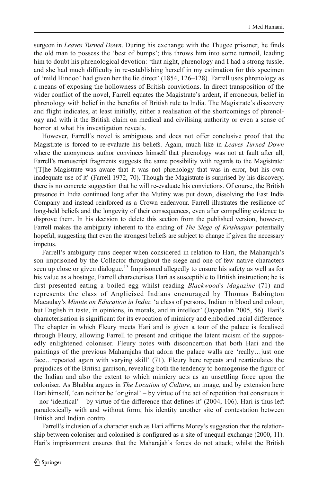surgeon in *Leaves Turned Down*. During his exchange with the Thugee prisoner, he finds the old man to possess the 'best of bumps'; this throws him into some turmoil, leading him to doubt his phrenological devotion: 'that night, phrenology and I had a strong tussle; and she had much difficulty in re-establishing herself in my estimation for this specimen of 'mild Hindoo' had given her the lie direct' (1854, 126–128). Farrell uses phrenology as a means of exposing the hollowness of British convictions. In direct transposition of the wider conflict of the novel, Farrell equates the Magistrate's ardent, if erroneous, belief in phrenology with belief in the benefits of British rule to India. The Magistrate's discovery and flight indicates, at least initially, either a realisation of the shortcomings of phrenology and with it the British claim on medical and civilising authority or even a sense of horror at what his investigation reveals.

However, Farrell's novel is ambiguous and does not offer conclusive proof that the Magistrate is forced to re-evaluate his beliefs. Again, much like in *Leaves Turned Down* where the anonymous author convinces himself that phrenology was not at fault after all, Farrell's manuscript fragments suggests the same possibility with regards to the Magistrate: '[T]he Magistrate was aware that it was not phrenology that was in error, but his own inadequate use of it' (Farrell 1972, 70). Though the Magistrate is surprised by his discovery, there is no concrete suggestion that he will re-evaluate his convictions. Of course, the British presence in India continued long after the Mutiny was put down, dissolving the East India Company and instead reinforced as a Crown endeavour. Farrell illustrates the resilience of long-held beliefs and the longevity of their consequences, even after compelling evidence to disprove them. In his decision to delete this section from the published version, however, Farrell makes the ambiguity inherent to the ending of *The Siege of Krishnapur* potentially hopeful, suggesting that even the strongest beliefs are subject to change if given the necessary impetus.

Farrell's ambiguity runs deeper when considered in relation to Hari, the Maharajah's son imprisoned by the Collector throughout the siege and one of few native characters seen up close or given dialogue.<sup>13</sup> Imprisoned allegedly to ensure his safety as well as for his value as a hostage, Farrell characterises Hari as susceptible to British instruction; he is first presented eating a boiled egg whilst reading Blackwood's Magazine (71) and represents the class of Anglicised Indians encouraged by Thomas Babington Macaulay's Minute on Education in India: 'a class of persons, Indian in blood and colour, but English in taste, in opinions, in morals, and in intellect' (Jayapalan 2005, 56). Hari's characterisation is significant for its evocation of mimicry and embodied racial difference. The chapter in which Fleury meets Hari and is given a tour of the palace is focalised through Fleury, allowing Farrell to present and critique the latent racism of the supposedly enlightened coloniser. Fleury notes with disconcertion that both Hari and the paintings of the previous Maharajahs that adorn the palace walls are 'really…just one face…repeated again with varying skill' (71). Fleury here repeats and rearticulates the prejudices of the British garrison, revealing both the tendency to homogenise the figure of the Indian and also the extent to which mimicry acts as an unsettling force upon the coloniser. As Bhabha argues in *The Location of Culture*, an image, and by extension here Hari himself, 'can neither be 'original' – by virtue of the act of repetition that constructs it – nor 'identical' – by virtue of the difference that defines it' (2004, 106). Hari is thus left paradoxically with and without form; his identity another site of contestation between British and Indian control.

Farrell's inclusion of a character such as Hari affirms Morey's suggestion that the relationship between coloniser and colonised is configured as a site of unequal exchange (2000, 11). Hari's imprisonment ensures that the Maharajah's forces do not attack; whilst the British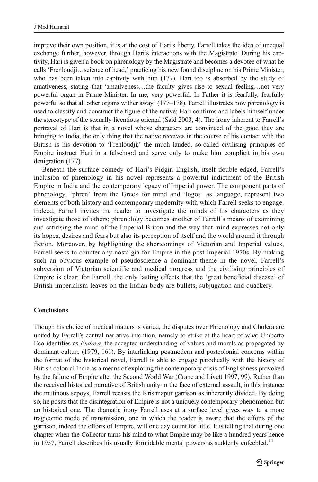improve their own position, it is at the cost of Hari's liberty. Farrell takes the idea of unequal exchange further, however, through Hari's interactions with the Magistrate. During his captivity, Hari is given a book on phrenology by the Magistrate and becomes a devotee of what he calls 'Frenloudji…science of head,' practicing his new found discipline on his Prime Minister, who has been taken into captivity with him (177). Hari too is absorbed by the study of amativeness, stating that 'amativeness…the faculty gives rise to sexual feeling…not very powerful organ in Prime Minister. In me, very powerful. In Father it is fearfully, fearfully powerful so that all other organs wither away' (177–178). Farrell illustrates how phrenology is used to classify and construct the figure of the native; Hari confirms and labels himself under the stereotype of the sexually licentious oriental (Said 2003, 4). The irony inherent to Farrell's portrayal of Hari is that in a novel whose characters are convinced of the good they are bringing to India, the only thing that the native receives in the course of his contact with the British is his devotion to 'Frenloudji;' the much lauded, so-called civilising principles of Empire instruct Hari in a falsehood and serve only to make him complicit in his own denigration (177).

Beneath the surface comedy of Hari's Pidgin English, itself double-edged, Farrell's inclusion of phrenology in his novel represents a powerful indictment of the British Empire in India and the contemporary legacy of Imperial power. The component parts of phrenology, 'phren' from the Greek for mind and 'logos' as language, represent two elements of both history and contemporary modernity with which Farrell seeks to engage. Indeed, Farrell invites the reader to investigate the minds of his characters as they investigate those of others; phrenology becomes another of Farrell's means of examining and satirising the mind of the Imperial Briton and the way that mind expresses not only its hopes, desires and fears but also its perception of itself and the world around it through fiction. Moreover, by highlighting the shortcomings of Victorian and Imperial values, Farrell seeks to counter any nostalgia for Empire in the post-Imperial 1970s. By making such an obvious example of pseudoscience a dominant theme in the novel, Farrell's subversion of Victorian scientific and medical progress and the civilising principles of Empire is clear; for Farrell, the only lasting effects that the 'great beneficial disease' of British imperialism leaves on the Indian body are bullets, subjugation and quackery.

## **Conclusions**

Though his choice of medical matters is varied, the disputes over Phrenology and Cholera are united by Farrell's central narrative intention, namely to strike at the heart of what Umberto Eco identifies as Endoxa, the accepted understanding of values and morals as propagated by dominant culture (1979, 161). By interlinking postmodern and postcolonial concerns within the format of the historical novel, Farrell is able to engage parodically with the history of British colonial India as a means of exploring the contemporary crisis of Englishness provoked by the failure of Empire after the Second World War (Crane and Livett 1997, 99). Rather than the received historical narrative of British unity in the face of external assault, in this instance the mutinous sepoys, Farrell recasts the Krishnapur garrison as inherently divided. By doing so, he posits that the disintegration of Empire is not a uniquely contemporary phenomenon but an historical one. The dramatic irony Farrell uses at a surface level gives way to a more tragicomic mode of transmission, one in which the reader is aware that the efforts of the garrison, indeed the efforts of Empire, will one day count for little. It is telling that during one chapter when the Collector turns his mind to what Empire may be like a hundred years hence in 1957, Farrell describes his usually formidable mental powers as suddenly enfeebled.<sup>14</sup>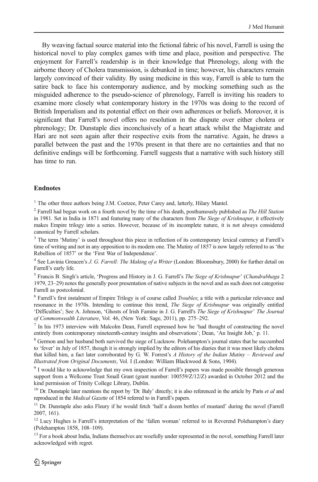By weaving factual source material into the fictional fabric of his novel, Farrell is using the historical novel to play complex games with time and place, position and perspective. The enjoyment for Farrell's readership is in their knowledge that Phrenology, along with the airborne theory of Cholera transmission, is debunked in time; however, his characters remain largely convinced of their validity. By using medicine in this way, Farrell is able to turn the satire back to face his contemporary audience, and by mocking something such as the misguided adherence to the pseudo-science of phrenology, Farrell is inviting his readers to examine more closely what contemporary history in the 1970s was doing to the record of British Imperialism and its potential effect on their own adherences or beliefs. Moreover, it is significant that Farrell's novel offers no resolution in the dispute over either cholera or phrenology; Dr. Dunstaple dies inconclusively of a heart attack whilst the Magistrate and Hari are not seen again after their respective exits from the narrative. Again, he draws a parallel between the past and the 1970s present in that there are no certainties and that no definitive endings will be forthcoming. Farrell suggests that a narrative with such history still has time to run.

#### Endnotes

<sup>1</sup> The other three authors being J.M. Coetzee, Peter Carey and, latterly, Hilary Mantel.

 $2$  Farrell had begun work on a fourth novel by the time of his death, posthumously published as The Hill Station in 1981. Set in India in 1871 and featuring many of the characters from *The Siege of Krishnapur*, it effectively makes Empire trilogy into a series. However, because of its incomplete nature, it is not always considered canonical by Farrell scholars.

<sup>3</sup> The term 'Mutiny' is used throughout this piece in reflection of its contemporary lexical currency at Farrell's time of writing and not in any opposition to its modern one. The Mutiny of 1857 is now largely referred to as 'the Rebellion of 1857' or the 'First War of Independence'.

<sup>4</sup> See Lavinia Greacen's J. G. Farrell: The Making of a Writer (London: Bloomsbury, 2000) for further detail on Farrell's early life.

<sup>5</sup> Francis B. Singh's article, 'Progress and History in J. G. Farrell's The Siege of Krishnapur' (Chandrabhaga 2 1979, 23–29) notes the generally poor presentation of native subjects in the novel and as such does not categorise Farrell as postcolonial.

<sup>6</sup> Farrell's first instalment of Empire Trilogy is of course called Troubles; a title with a particular relevance and resonance in the 1970s. Intending to continue this trend, *The Siege of Krishnapur* was originally entitled 'Difficulties'; See A. Johnson, 'Ghosts of Irish Famine in J. G. Farrell's The Siege of Krishnapur' The Journal of Commonwealth Literature, Vol. 46, (New York: Sage, 2011), pp. 275–292.

 $<sup>7</sup>$  In his 1973 interview with Malcolm Dean, Farrell expressed how he 'had thought of constructing the novel</sup> entirely from contemporary nineteenth-century insights and observations'; Dean, 'An Insight Job,' p. 11.

<sup>8</sup> Germon and her husband both survived the siege of Lucknow. Polehampton's journal states that he succumbed to 'fever' in July of 1857, though it is strongly implied by the editors of his diaries that it was most likely cholera that killed him, a fact later corroborated by G. W. Forrest's  $A$  History of the Indian Mutiny – Reviewed and Illustrated from Original Documents, Vol. I (London: William Blackwood & Sons, 1904).

<sup>9</sup> I would like to acknowledge that my own inspection of Farrell's papers was made possible through generous support from a Wellcome Trust Small Grant (grant number: 100559/Z/12/Z) awarded in October 2012 and the kind permission of Trinity College Library, Dublin.

 $10$  Dr. Dunstaple later mentions the report by 'Dr. Baly' directly; it is also referenced in the article by Paris et aI and reproduced in the Medical Gazette of 1854 referred to in Farrell's papers.

<sup>11</sup> Dr. Dunstaple also asks Fleury if he would fetch 'half a dozen bottles of mustard' during the novel (Farrell 2007, 161).

<sup>12</sup> Lucy Hughes is Farrell's interpretation of the 'fallen woman' referred to in Reverend Polehampton's diary (Polehampton 1858, 108–109).

<sup>13</sup> For a book about India, Indians themselves are woefully under represented in the novel, something Farrell later acknowledged with regret.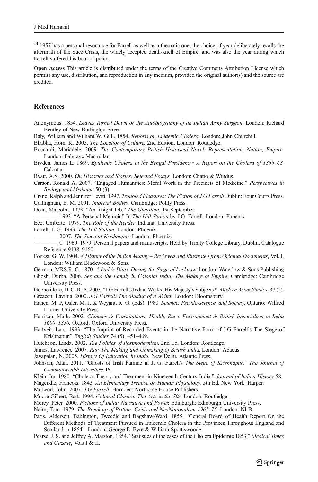<sup>14</sup> 1957 has a personal resonance for Farrell as well as a thematic one; the choice of year deliberately recalls the aftermath of the Suez Crisis, the widely accepted death-knell of Empire, and was also the year during which Farrell suffered his bout of polio.

Open Access This article is distributed under the terms of the Creative Commons Attribution License which permits any use, distribution, and reproduction in any medium, provided the original author(s) and the source are credited.

# References

- Anonymous. 1854. Leaves Turned Down or the Autobiography of an Indian Army Surgeon. London: Richard Bentley of New Burlington Street
- Baly, William and William W. Gull. 1854. Reports on Epidemic Cholera. London: John Churchill.

Bhabha, Homi K. 2005. The Location of Culture. 2nd Edition. London: Routledge.

Boccardi, Mariadele. 2009. The Contemporary British Historical Novel: Representation, Nation, Empire. London: Palgrave Macmillan.

Bryden, James L. 1869. Epidemic Cholera in the Bengal Presidency: A Report on the Cholera of 1866–68. Calcutta.

Byatt, A.S. 2000. On Histories and Stories: Selected Essays. London: Chatto & Windus.

Carson, Ronald A. 2007. "Engaged Humanities: Moral Work in the Precincts of Medicine." Perspectives in Biology and Medicine 50 (3).

Crane, Ralph and Jennifer Levitt. 1997. Troubled Pleasures: The Fiction of J.G Farrell Dublin: Four Courts Press. Collingham, E. M. 2001. Imperial Bodies. Cambridge: Polity Press.

Dean, Malcolm. 1973. "An Insight Job." The Guardian, 1st September.

-. 1993. "A Personal Memoir." In The Hill Station by J.G. Farrell. London: Phoenix.

Eco, Umberto. 1979. The Role of the Reader. Indiana: University Press.

Farrell, J. G. 1993. The Hill Station. London: Phoenix.

-. 2007. The Siege of Krishnapur. London: Phoenix.

————. C. 1960–1979. Personal papers and manuscripts. Held by Trinity College Library, Dublin. Catalogue Reference 9138–9160.

Forrest, G. W. 1904. A History of the Indian Mutiny – Reviewed and Illustrated from Original Documents, Vol. I. London: William Blackwood & Sons.

Germon, MRS.R. C. 1870. A Lady's Diary During the Siege of Lucknow. London: Waterlow & Sons Publishing

Ghosh, Durba. 2006. Sex and the Family in Colonial India: The Making of Empire. Cambridge: Cambridge University Press.

Goonetilleke, D. C. R. A. 2003. "J.G Farrell's Indian Works: His Majesty's Subjects?" Modern Asian Studies, 37 (2). Greacen, Lavinia. 2000. J.G Farrell: The Making of a Writer. London: Bloomsbury.

Hanen, M. P, Osler, M. J, & Weyant, R. G. (Eds). 1980. Science, Pseudo-science, and Society. Ontario: Wilfred Laurier University Press.

Harrison, Mark. 2002. Climates & Constitutions: Health, Race, Environment & British Imperialism in India 1600–1850. Oxford: Oxford University Press.

Hartveit, Lars. 1993. "The Imprint of Recorded Events in the Narrative Form of J.G Farrell's The Siege of Krishnapur." English Studies 74 (5): 451–469.

Hutcheon, Linda. 2002. The Politics of Postmodernism. 2nd Ed. London: Routledge.

James, Lawrence. 2007. Raj: The Making and Unmaking of British India. London: Abacus.

Jayapalan, N. 2005. History Of Education In India. New Delhi, Atlantic Press.

Johnson, Alan. 2011. "Ghosts of Irish Famine in J. G. Farrell's The Siege of Krishnapur." The Journal of Commonwealth Literature 46.

Klein, Ira. 1980. "Cholera: Theory and Treatment in Nineteenth Century India." Journal of Indian History 58.

Magendie, Francois. 1843. An Elementary Treatise on Human Physiology. 5th Ed. New York: Harper.

McLeod, John. 2007. J.G Farrell. Hornden: Northcote House Publishers.

Moore-Gilbert, Bart. 1994. Cultural Closure: The Arts in the 70s. London: Routledge.

Morey, Peter. 2000. Fictions of India: Narrative and Power. Edinburgh: Edinburgh University Press.

Nairn, Tom. 1979. The Break up of Britain: Crisis and NeoNationalism 1965–75. London: NLB.

Paris, Alderson, Babington, Tweedie and Bagshaw-Ward. 1855. "General Board of Health Report On the Different Methods of Treatment Pursued in Epidemic Cholera in the Provinces Throughout England and Scotland in 1854". London: George E. Eyre & William Spottiswoode.

Pearse, J. S. and Jeffrey A. Marston. 1854. "Statistics of the cases of the Cholera Epidemic 1853." Medical Times and Gazette, Vols I & II.